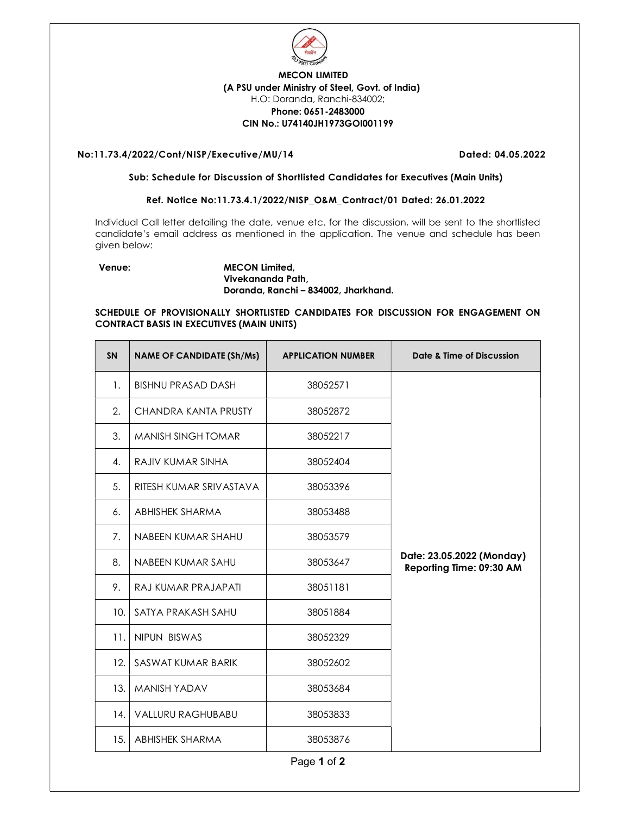

# MECON LIMITED (A PSU under Ministry of Steel, Govt. of India) H.O: Doranda, Ranchi-834002; Phone: 0651-2483000 CIN No.: U74140JH1973GOI001199

# No:11.73.4/2022/Cont/NISP/Executive/MU/14 Dated: 04.05.2022

#### Sub: Schedule for Discussion of Shortlisted Candidates for Executives (Main Units)

# Ref. Notice No:11.73.4.1/2022/NISP\_O&M\_Contract/01 Dated: 26.01.2022

Individual Call letter detailing the date, venue etc. for the discussion, will be sent to the shortlisted candidate's email address as mentioned in the application. The venue and schedule has been given below:

# Venue: MECON Limited, Vivekananda Path, Doranda, Ranchi – 834002, Jharkhand.

# SCHEDULE OF PROVISIONALLY SHORTLISTED CANDIDATES FOR DISCUSSION FOR ENGAGEMENT ON CONTRACT BASIS IN EXECUTIVES (MAIN UNITS)

| <b>SN</b>      | <b>NAME OF CANDIDATE (Sh/Ms)</b> | <b>APPLICATION NUMBER</b> | Date & Time of Discussion                             |
|----------------|----------------------------------|---------------------------|-------------------------------------------------------|
| 1.             | <b>BISHNU PRASAD DASH</b>        | 38052571                  |                                                       |
| 2.             | CHANDRA KANTA PRUSTY             | 38052872                  |                                                       |
| 3.             | <b>MANISH SINGH TOMAR</b>        | 38052217                  |                                                       |
| $\mathbf{4}$ . | RAJIV KUMAR SINHA                | 38052404                  |                                                       |
| 5.             | RITESH KUMAR SRIVASTAVA          | 38053396                  |                                                       |
| 6.             | <b>ABHISHEK SHARMA</b>           | 38053488                  |                                                       |
| 7.             | NABEEN KUMAR SHAHU               | 38053579                  |                                                       |
| 8.             | NABEEN KUMAR SAHU                | 38053647                  | Date: 23.05.2022 (Monday)<br>Reporting Time: 09:30 AM |
| 9.             | RAJ KUMAR PRAJAPATI              | 38051181                  |                                                       |
| 10.            | SATYA PRAKASH SAHU               | 38051884                  |                                                       |
| 11.            | NIPUN BISWAS                     | 38052329                  |                                                       |
| 12.            | SASWAT KUMAR BARIK               | 38052602                  |                                                       |
| 13.            | MANISH YADAV                     | 38053684                  |                                                       |
| 14.            | <b>VALLURU RAGHUBABU</b>         | 38053833                  |                                                       |
| 15.            | ABHISHEK SHARMA                  | 38053876                  |                                                       |
|                |                                  | Page 1 of 2               |                                                       |